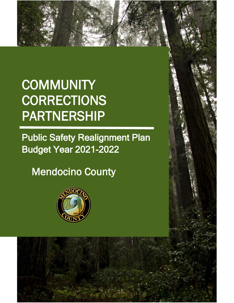# **COMMUNITY CORRECTIONS** PARTNERSHIP

**Public Safety Realignment Plan** Budget Year 2021-2022

1

Mendocino County

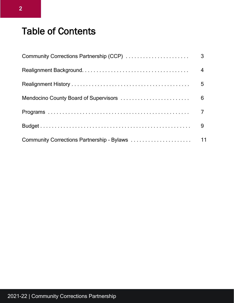## Table of Contents

| 3              |
|----------------|
| $\overline{4}$ |
| 5              |
| 6              |
|                |
| 9              |
| 11             |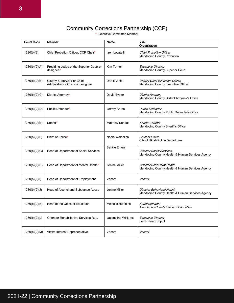## Community Corrections Partnership (CCP)

\* Executive Committee Member

| <b>Penal Code</b> | Member                                                          | Name                     | <b>Title</b><br>Organization                                                       |
|-------------------|-----------------------------------------------------------------|--------------------------|------------------------------------------------------------------------------------|
| 1230(b)(2)        | Chief Probation Officer, CCP Chair*                             | Izen Locatelli           | <b>Chief Probation Officer</b><br><b>Mendocino County Probation</b>                |
| 1230(b)(2)(A)     | Presiding Judge of the Superior Court or<br>designee*           | Kim Turner               | <b>Executive Director</b><br>Mendocino County Superior Court                       |
| 1230(b)(2)(B)     | County Supervisor or Chief<br>Administrative Office or designee | Darcie Antle             | Deputy Chief Executive Officer<br>Mendocino County Executive Officer               |
| 1230(b)(2)(C)     | District Attorney*                                              | David Eyster             | <b>District Attorney</b><br>Mendocino County District Attorney's Office            |
| 1230(b)(2)(D)     | Public Defender*                                                | Jeffrey Aaron            | <b>Public Defender</b><br>Mendocino County Public Defender's Office                |
| 1230(b)(2)(E)     | Sheriff*                                                        | <b>Matthew Kendall</b>   | Sheriff-Coroner<br>Mendocino County Sheriff's Office                               |
| 1230(b)(2)(F)     | Chief of Police*                                                | Noble Waidelich          | <b>Chief of Police</b><br>City of Ukiah Police Department                          |
| 1230(b)(2)(G)     | Head of Department of Social Services                           | <b>Bekkie Emery</b>      | <b>Director Social Services</b><br>Mendocino County Health & Human Services Agency |
| 1230(b)(2)(H)     | Head of Department of Mental Health*                            | Jenine Miller            | Director Behavioral Health<br>Mendocino County Health & Human Services Agency      |
| 1230(b)(2)(I)     | Head of Department of Employment                                | Vacant                   | Vacant                                                                             |
| 1230(b)(2)(J)     | <b>Head of Alcohol and Substance Abuse</b>                      | Jenine Miller            | Director Behavioral Health<br>Mendocino County Health & Human Services Agency      |
| 1230(b)(2)(K)     | Head of the Office of Education                                 | <b>Michelle Hutchins</b> | Superintendent<br>Mendocino County Office of Education                             |
| 1230(b)(2)(L)     | Offender Rehabilitative Services Rep.                           | Jacqueline Williams      | <b>Executive Director</b><br><b>Ford Street Project</b>                            |
| 1230(b)(2)(M)     | Victim Interest Representative                                  | Vacant                   | Vacant                                                                             |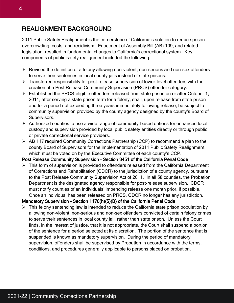## REALIGNMENT BACKGROUND

2011 Public Safety Realignment is the cornerstone of California's solution to reduce prison overcrowding, costs, and recidivism. Enactment of Assembly Bill (AB) 109, and related legislation, resulted in fundamental changes to California's correctional system. Key components of public safety realignment included the following:

- ➢ Revised the definition of a felony allowing non-violent, non-serious and non-sex offenders to serve their sentences in local county jails instead of state prisons.
- ➢ Transferred responsibility for post-release supervision of lower-level offenders with the creation of a Post Release Community Supervision (PRCS) offender category.
- ➢ Established the PRCS-eligible offenders released from state prison on or after October 1, 2011, after serving a state prison term for a felony, shall, upon release from state prison and for a period not exceeding three years immediately following release, be subject to community supervision provided by the county agency designed by the county's Board of Supervisors.
- ➢ Authorized counties to use a wide range of community-based options for enhanced local custody and supervision provided by local public safety entities directly or through public or private correctional service providers.
- ➢ AB 117 required Community Corrections Partnership (CCP) to recommend a plan to the county Board of Supervisors for the implementation of 2011 Public Safety Realignment, which must be voted on by the Executive Committee of each county's CCP.

#### Post Release Community Supervision – Section 3451 of the California Penal Code

➢ This form of supervision is provided to offenders released from the California Department of Corrections and Rehabilitation (CDCR) to the jurisdiction of a county agency, pursuant to the Post Release Community Supervision Act of 2011. In all 58 counties, the Probation Department is the designated agency responsible for post-release supervision. CDCR must notify counties of an individuals' impending release one month prior, if possible. Once an individual has been released on PRCS, CDCR no longer has any jurisdiction.

#### Mandatory Supervision – Section 1170(h)(5)(B) of the California Penal Code

 $\triangleright$  This felony sentencing law is intended to reduce the California state prison population by allowing non-violent, non-serious and non-sex offenders convicted of certain felony crimes to serve their sentences in local county jail, rather than state prison. Unless the Court finds, in the interest of justice, that it is not appropriate, the Court shall suspend a portion of the sentence for a period selected at its discretion. The portion of the sentence that is suspended is known as mandatory supervision. During the period of mandatory supervision, offenders shall be supervised by Probation in accordance with the terms, conditions, and procedures generally applicable to persons placed on probation.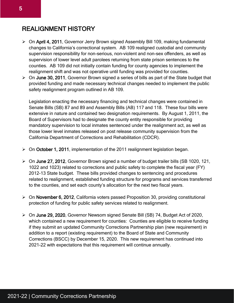## REALIGNMENT HISTORY

- ➢ On April 4, 2011, Governor Jerry Brown signed Assembly Bill 109, making fundamental changes to California's correctional system. AB 109 realigned custodial and community supervision responsibility for non-serious, non-violent and non-sex offenders, as well as supervision of lower level adult parolees returning from state prison sentences to the counties. AB 109 did not initially contain funding for county agencies to implement the realignment shift and was not operative until funding was provided for counties.
- ➢ On June 30, 2011, Governor Brown signed a series of bills as part of the State budget that provided funding and made necessary technical changes needed to implement the public safety realignment program outlined in AB 109.

Legislation enacting the necessary financing and technical changes were contained in Senate Bills (SB) 87 and 89 and Assembly Bills (AB) 117 and 118. These four bills were extensive in nature and contained two designation requirements. By August 1, 2011, the Board of Supervisors had to designate the county entity responsible for providing mandatory supervision to local inmates sentenced under the realignment act, as well as those lower level inmates released on post release community supervision from the California Department of Corrections and Rehabilitation (CDCR).

- ➢ On October 1, 2011, implementation of the 2011 realignment legislation began.
- ➢ On June 27, 2012, Governor Brown signed a number of budget trailer bills (SB 1020, 121, 1022 and 1023) related to corrections and public safety to complete the fiscal year (FY) 2012-13 State budget. These bills provided changes to sentencing and procedures related to realignment, established funding structure for programs and services transferred to the counties, and set each county's allocation for the next two fiscal years.
- ➢ On November 6, 2012, California voters passed Proposition 30, providing constitutional protection of funding for public safety services related to realignment.
- ➢ On June 29, 2020, Governor Newsom signed Senate Bill (SB) 74, Budget Act of 2020, which contained a new requirement for counties: Counties are eligible to receive funding if they submit an updated Community Corrections Partnership plan (new requirement) in addition to a report (existing requirement) to the Board of State and Community Corrections (BSCC) by December 15, 2020. This new requirement has continued into 2021-22 with expectations that this requirement will continue annually.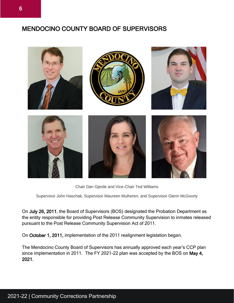## MENDOCINO COUNTY BOARD OF SUPERVISORS



Chair Dan Gjerde and Vice-Chair Ted Williams

Supervisor John Haschak, Supervisor Maureen Mulheren, and Supervisor Glenn McGourty

On July 26, 2011, the Board of Supervisors (BOS) designated the Probation Department as the entity responsible for providing Post Release Community Supervision to inmates released pursuant to the Post Release Community Supervision Act of 2011.

On October 1, 2011, implementation of the 2011 realignment legislation began.

The Mendocino County Board of Supervisors has annually approved each year's CCP plan since implementation in 2011. The FY 2021-22 plan was accepted by the BOS on May 4, 2021.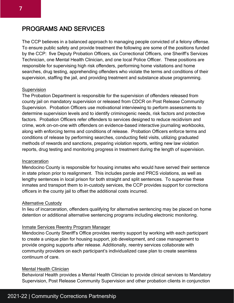### PROGRAMS AND SERVICES

The CCP believes in a balanced approach to managing people convicted of a felony offense. To ensure public safety and provide treatment the following are some of the positions funded by the CCP: five Deputy Probation Officers, six Correctional Officers, one Sheriff's Services Technician, one Mental Health Clinician, and one local Police Officer. These positions are responsible for supervising high risk offenders, performing home visitations and home searches, drug testing, apprehending offenders who violate the terms and conditions of their supervision, staffing the jail, and providing treatment and substance abuse programming.

#### Supervision

The Probation Department is responsible for the supervision of offenders released from county jail on mandatory supervision or released from CDCR on Post Release Community Supervision. Probation Officers use motivational interviewing to perform assessments to determine supervision levels and to identify criminogenic needs, risk factors and protective factors. Probation Officers refer offenders to services designed to reduce recidivism and crime, work on-on-one with offenders on evidence-based interactive journaling workbooks, along with enforcing terms and conditions of release. Probation Officers enforce terms and conditions of release by performing searches, conducting field visits, utilizing graduated methods of rewards and sanctions, preparing violation reports, writing new law violation reports, drug testing and monitoring progress in treatment during the length of supervision.

#### Incarceration

Mendocino County is responsible for housing inmates who would have served their sentence in state prison prior to realignment. This includes parole and PRCS violations, as well as lengthy sentences in local prison for both straight and split sentences. To supervise these inmates and transport them to in-custody services, the CCP provides support for corrections officers in the county jail to offset the additional costs incurred.

#### Alternative Custody

In lieu of incarceration, offenders qualifying for alternative sentencing may be placed on home detention or additional alternative sentencing programs including electronic monitoring.

#### Inmate Services Reentry Program Manager

Mendocino County Sheriff's Office provides reentry support by working with each participant to create a unique plan for housing support, job development, and case management to provide ongoing supports after release. Additionally, reentry services collaborate with community providers on each participant's individualized case plan to create seamless continuum of care.

#### Mental Health Clinician

Behavioral Health provides a Mental Health Clinician to provide clinical services to Mandatory Supervision, Post Release Community Supervision and other probation clients in conjunction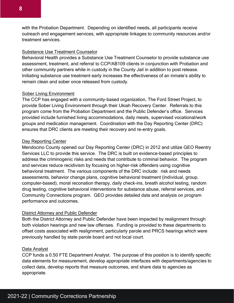with the Probation Department. Depending on identified needs, all participants receive outreach and engagement services, with appropriate linkages to community resources and/or treatment services.

#### Substance Use Treatment Counselor

Behavioral Health provides a Substance Use Treatment Counselor to provide substance use assessment, treatment, and referral to CCP/AB109 clients in conjunction with Probation and other community partners while in custody in the County Jail in addition to post release. Initiating substance use treatment early increases the effectiveness of an inmate's ability to remain clean and sober once released from custody.

#### Sober Living Environment

The CCP has engaged with a community-based organization, The Ford Street Project, to provide Sober Living Environment through their Ukiah Recovery Center. Referrals to this program come from the Probation Department and the Public Defender's office. Services provided include furnished living accommodations, daily meals, supervised vocational/work groups and medication management. Coordination with the Day Reporting Center (DRC) ensures that DRC clients are meeting their recovery and re-entry goals.

#### Day Reporting Center

Mendocino County opened our Day Reporting Center (DRC) in 2012 and utilize GEO Reentry Services LLC to provide this service. The DRC is built on evidence-based principles to address the criminogenic risks and needs that contribute to criminal behavior. The program and services reduce recidivism by focusing on higher-risk offenders using cognitive behavioral treatment. The various components of the DRC include: risk and needs assessments, behavior change plans, cognitive behavioral treatment (individual, group, computer-based), moral reconation therapy, daily check-ins, breath alcohol testing, random drug testing, cognitive behavioral interventions for substance abuse, referral services, and Community Connections program. GEO provides detailed data and analysis on program performance and outcomes.

#### District Attorney and Public Defender

Both the District Attorney and Public Defender have been impacted by realignment through both violation hearings and new law offenses. Funding is provided to these departments to offset costs associated with realignment, particularly parole and PRCS hearings which were previously handled by state parole board and not local court.

#### Data Analyst

CCP funds a 0.50 FTE Department Analyst. The purpose of this position is to identify specific data elements for measurement, develop appropriate interfaces with departments/agencies to collect data, develop reports that measure outcomes, and share data to agencies as appropriate.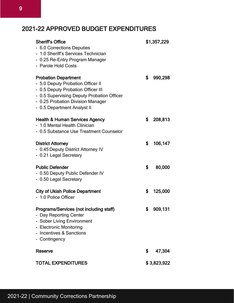## 2021-22 APPROVED BUDGET EXPENDITURES

| <b>Sheriff's Office</b><br>- 6.0 Corrections Deputies<br>- 1.0 Sheriff's Services Technician<br>- 0.25 Re-Entry Program Manager<br>- Parole Hold Costs                                                                   | \$1,357,229   |
|--------------------------------------------------------------------------------------------------------------------------------------------------------------------------------------------------------------------------|---------------|
| <b>Probation Department</b><br>- 5.0 Deputy Probation Officer II<br>- 0.5 Deputy Probation Officer III<br>- 0.5 Supervising Deputy Probation Officer<br>- 0.25 Probation Division Manager<br>- 0.5 Department Analyst II | \$<br>990,298 |
| <b>Health &amp; Human Services Agency</b><br>- 1.0 Mental Health Clinician<br>- 0.5 Substance Use Treatment Counselor                                                                                                    | \$<br>208,813 |
| <b>District Attorney</b><br>- 0.45 Deputy District Attorney IV<br>- 0.21 Legal Secretary                                                                                                                                 | \$<br>106,147 |
| <b>Public Defender</b><br>- 0.50 Deputy Public Defender IV<br>- 0.50 Legal Secretary                                                                                                                                     | \$<br>80,000  |
| <b>City of Ukiah Police Department</b><br>- 1.0 Police Officer                                                                                                                                                           | \$<br>125,000 |
| <b>Programs/Services (not including staff)</b><br>- Day Reporting Center<br>- Sober Living Environment<br>- Electronic Monitoring<br>- Incentives & Sanctions<br>- Contingency                                           | \$<br>909,131 |
| <b>Reserve</b>                                                                                                                                                                                                           | \$<br>47,304  |
| <b>TOTAL EXPENDITURES</b>                                                                                                                                                                                                | \$3,823,922   |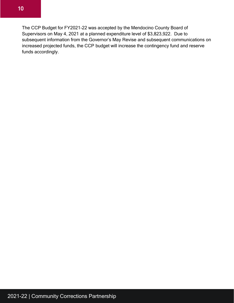The CCP Budget for FY2021-22 was accepted by the Mendocino County Board of Supervisors on May 4, 2021 at a planned expenditure level of \$3,823,922. Due to subsequent information from the Governor's May Revise and subsequent communications on increased projected funds, the CCP budget will increase the contingency fund and reserve funds accordingly.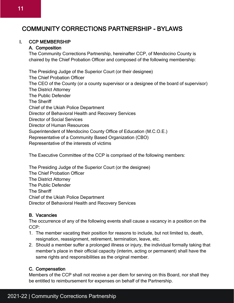## COMMUNITY CORRECTIONS PARTNERSHIP - BYLAWS

#### I. CCP MEMBERSHIP

#### A. Composition

The Community Corrections Partnership, hereinafter CCP, of Mendocino County is chaired by the Chief Probation Officer and composed of the following membership:

The Presiding Judge of the Superior Court (or their designee) The Chief Probation Officer The CEO of the County (or a county supervisor or a designee of the board of supervisor) The District Attorney The Public Defender The Sheriff Chief of the Ukiah Police Department Director of Behavioral Health and Recovery Services Director of Social Services Director of Human Resources Superintendent of Mendocino County Office of Education (M.C.O.E.) Representative of a Community Based Organization (CBO) Representative of the interests of victims

The Executive Committee of the CCP is comprised of the following members:

The Presiding Judge of the Superior Court (or the designee) The Chief Probation Officer The District Attorney The Public Defender The Sheriff Chief of the Ukiah Police Department Director of Behavioral Health and Recovery Services

#### B. Vacancies

The occurrence of any of the following events shall cause a vacancy in a position on the CCP:

- 1. The member vacating their position for reasons to include, but not limited to, death, resignation, reassignment, retirement, termination, leave, etc.
- 2. Should a member suffer a prolonged illness or injury, the individual formally taking that member's place in their official capacity (interim, acting or permanent) shall have the same rights and responsibilities as the original member.

#### C. Compensation

Members of the CCP shall not receive a per diem for serving on this Board, nor shall they be entitled to reimbursement for expenses on behalf of the Partnership.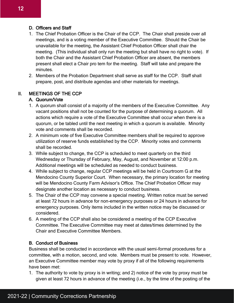#### D. Officers and Staff

- 1. The Chief Probation Officer is the Chair of the CCP. The Chair shall preside over all meetings, and is a voting member of the Executive Committee. Should the Chair be unavailable for the meeting, the Assistant Chief Probation Officer shall chair the meeting. (This individual shall only run the meeting but shall have no right to vote). If both the Chair and the Assistant Chief Probation Officer are absent, the members present shall elect a Chair pro tem for the meeting. Staff will take and prepare the minutes.
- 2. Members of the Probation Department shall serve as staff for the CCP. Staff shall prepare, post, and distribute agendas and other materials for meetings.

#### II. MEETINGS OF THE CCP

#### A. Quorum/Vote

- 1. A quorum shall consist of a majority of the members of the Executive Committee. Any vacant positions shall not be counted for the purpose of determining a quorum. All actions which require a vote of the Executive Committee shall occur when there is a quorum, or be tabled until the next meeting in which a quorum is available. Minority vote and comments shall be recorded.
- 2. A minimum vote of five Executive Committee members shall be required to approve utilization of reserve funds established by the CCP. Minority votes and comments shall be recorded.
- 3. While subject to change, the CCP is scheduled to meet quarterly on the third Wednesday or Thursday of February, May, August, and November at 12:00 p.m. Additional meetings will be scheduled as needed to conduct business.
- 4. While subject to change, regular CCP meetings will be held in Courtroom G at the Mendocino County Superior Court. When necessary, the primary location for meeting will be Mendocino County Farm Advisor's Office. The Chief Probation Officer may designate another location as necessary to conduct business.
- 5. The Chair of the CCP may convene a special meeting. Written notice must be served at least 72 hours in advance for non-emergency purposes or 24 hours in advance for emergency purposes. Only items included in the written notice may be discussed or considered.
- 6. A meeting of the CCP shall also be considered a meeting of the CCP Executive Committee. The Executive Committee may meet at dates/times determined by the Chair and Executive Committee Members.

#### B. Conduct of Business

Business shall be conducted in accordance with the usual semi-formal procedures for a committee, with a motion, second, and vote. Members must be present to vote. However, an Executive Committee member may vote by proxy if all of the following requirements have been met:

1. The authority to vote by proxy is in writing; and 2) notice of the vote by proxy must be given at least 72 hours in advance of the meeting (i.e., by the time of the posting of the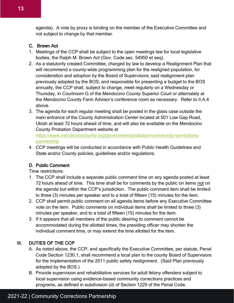agenda). A vote by proxy is binding on the member of the Executive Committee and not subject to change by that member.

#### C. Brown Act

- 1. Meetings of the CCP shall be subject to the open meetings law for local legislative bodies, the Ralph M. Brown Act (Gov. Code sec. 54950 et seq).
- 2. As a statutorily created Committee, charged by law to develop a Realignment Plan that will recommend a county-wide programming plan for the realigned population, for consideration and adoption by the Board of Supervisors; said realignment plan previously adopted by the BOS; and responsible for presenting a budget to the BOS annually, the CCP shall, subject to change, meet regularly on a Wednesday or Thursday, in Courtroom G of the Mendocino County Superior Court or alternately at the Mendocino County Farm Advisor's conference room as necessary. Refer to II.A.4 above.
- 3. The agenda for each regular meeting shall be posted in the glass case outside the main entrance of the County Administration Center located at 501 Low Gap Road, Ukiah at least 72 hours ahead of time, and will also be available on the Mendocino County Probation Department website at

[https://www.mendocinocounty.org/government/probation/community-corrections](https://www.mendocinocounty.org/government/probation/community-corrections-partnership)[partnership](https://www.mendocinocounty.org/government/probation/community-corrections-partnership)

4. CCP meetings will be conducted in accordance with Public Health Guidelines and State and/or County policies, guidelines and/or regulations.

#### D. Public Comment

Time restrictions:

- 1. The CCP shall include a separate public comment time on any agenda posted at least 72 hours ahead of time. This time shall be for comments by the public on items not on the agenda but within the CCP's jurisdiction. The public comment item shall be limited to three (3) minutes per speaker and to a total of fifteen (15) minutes for the item.
- 2. CCP shall permit public comment on all agenda items before any Executive Committee vote on the item. Public comments on individual items shall be limited to three (3) minutes per speaker, and to a total of fifteen (15) minutes for the item.
- 3. If it appears that all members of the public desiring to comment cannot be accommodated during the allotted times, the presiding officer may shorten the individual comment time, or may extend the time allotted for the item.

#### III. DUTIES OF THE CCP

- A. As noted above, the CCP, and specifically the Executive Committee, per statute, Penal Code Section 1230.1, shall recommend a local plan to the county Board of Supervisors for the implementation of the 2011 public safety realignment. (Said Plan previously adopted by the BOS.)
- B. Provide supervision and rehabilitative services for adult felony offenders subject to local supervision using evidence-based community corrections practices and programs, as defined in subdivision (d) of Section 1229 of the Penal Code.